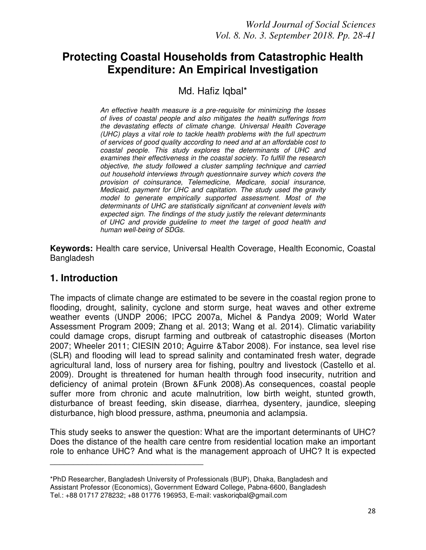# **Protecting Coastal Households from Catastrophic Health Expenditure: An Empirical Investigation**

# Md. Hafiz Iqbal\*

*An effective health measure is a pre-requisite for minimizing the losses of lives of coastal people and also mitigates the health sufferings from the devastating effects of climate change. Universal Health Coverage (UHC) plays a vital role to tackle health problems with the full spectrum of services of good quality according to need and at an affordable cost to coastal people. This study explores the determinants of UHC and examines their effectiveness in the coastal society. To fulfill the research objective, the study followed a cluster sampling technique and carried out household interviews through questionnaire survey which covers the provision of coinsurance, Telemedicine, Medicare, social insurance, Medicaid, payment for UHC and capitation. The study used the gravity model to generate empirically supported assessment. Most of the determinants of UHC are statistically significant at convenient levels with expected sign. The findings of the study justify the relevant determinants of UHC and provide guideline to meet the target of good health and human well-being of SDGs.* 

**Keywords:** Health care service, Universal Health Coverage, Health Economic, Coastal Bangladesh

# **1. Introduction**

The impacts of climate change are estimated to be severe in the coastal region prone to flooding, drought, salinity, cyclone and storm surge, heat waves and other extreme weather events (UNDP 2006; IPCC 2007a, Michel & Pandya 2009; World Water Assessment Program 2009; Zhang et al. 2013; Wang et al. 2014). Climatic variability could damage crops, disrupt farming and outbreak of catastrophic diseases (Morton 2007; Wheeler 2011; CIESIN 2010; Aguirre &Tabor 2008). For instance, sea level rise (SLR) and flooding will lead to spread salinity and contaminated fresh water, degrade agricultural land, loss of nursery area for fishing, poultry and livestock (Castello et al. 2009). Drought is threatened for human health through food insecurity, nutrition and deficiency of animal protein (Brown &Funk 2008).As consequences, coastal people suffer more from chronic and acute malnutrition, low birth weight, stunted growth, disturbance of breast feeding, skin disease, diarrhea, dysentery, jaundice, sleeping disturbance, high blood pressure, asthma, pneumonia and aclampsia.

This study seeks to answer the question: What are the important determinants of UHC? Does the distance of the health care centre from residential location make an important role to enhance UHC? And what is the management approach of UHC? It is expected

\_\_\_\_\_\_\_\_\_\_\_\_\_\_\_\_\_\_\_\_\_\_\_\_\_\_\_\_\_\_\_\_\_

<sup>\*</sup>PhD Researcher, Bangladesh University of Professionals (BUP), Dhaka, Bangladesh and Assistant Professor (Economics), Government Edward College, Pabna-6600, Bangladesh Tel.: +88 01717 278232; +88 01776 196953, E-mail: vaskoriqbal@gmail.com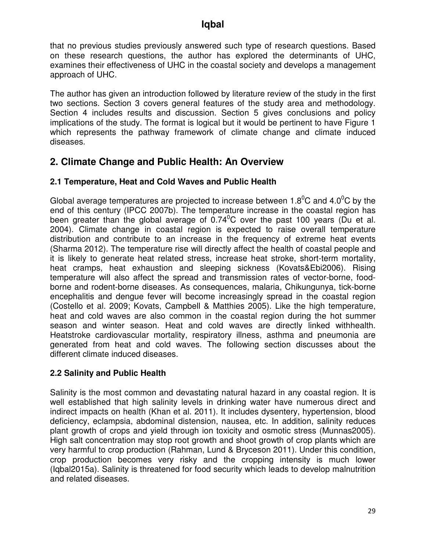that no previous studies previously answered such type of research questions. Based on these research questions, the author has explored the determinants of UHC, examines their effectiveness of UHC in the coastal society and develops a management approach of UHC.

The author has given an introduction followed by literature review of the study in the first two sections. Section 3 covers general features of the study area and methodology. Section 4 includes results and discussion. Section 5 gives conclusions and policy implications of the study. The format is logical but it would be pertinent to have Figure 1 which represents the pathway framework of climate change and climate induced diseases.

# **2. Climate Change and Public Health: An Overview**

## **2.1 Temperature, Heat and Cold Waves and Public Health**

Global average temperatures are projected to increase between  $1.8^{\circ}$ C and  $4.0^{\circ}$ C by the end of this century (IPCC 2007b). The temperature increase in the coastal region has been greater than the global average of  $0.74^{\circ}$ C over the past 100 years (Du et al. 2004). Climate change in coastal region is expected to raise overall temperature distribution and contribute to an increase in the frequency of extreme heat events (Sharma 2012). The temperature rise will directly affect the health of coastal people and it is likely to generate heat related stress, increase heat stroke, short-term mortality, heat cramps, heat exhaustion and sleeping sickness (Kovats&Ebi2006). Rising temperature will also affect the spread and transmission rates of vector-borne, foodborne and rodent-borne diseases. As consequences, malaria, Chikungunya, tick-borne encephalitis and dengue fever will become increasingly spread in the coastal region (Costello et al. 2009; Kovats, Campbell & Matthies 2005). Like the high temperature, heat and cold waves are also common in the coastal region during the hot summer season and winter season. Heat and cold waves are directly linked withhealth. Heatstroke cardiovascular mortality, respiratory illness, asthma and pneumonia are generated from heat and cold waves. The following section discusses about the different climate induced diseases.

## **2.2 Salinity and Public Health**

Salinity is the most common and devastating natural hazard in any coastal region. It is well established that high salinity levels in drinking water have numerous direct and indirect impacts on health (Khan et al. 2011). It includes dysentery, hypertension, blood deficiency, eclampsia, abdominal distension, nausea, etc. In addition, salinity reduces plant growth of crops and yield through ion toxicity and osmotic stress (Munnas2005). High salt concentration may stop root growth and shoot growth of crop plants which are very harmful to crop production (Rahman, Lund & Bryceson 2011). Under this condition, crop production becomes very risky and the cropping intensity is much lower (Iqbal2015a). Salinity is threatened for food security which leads to develop malnutrition and related diseases.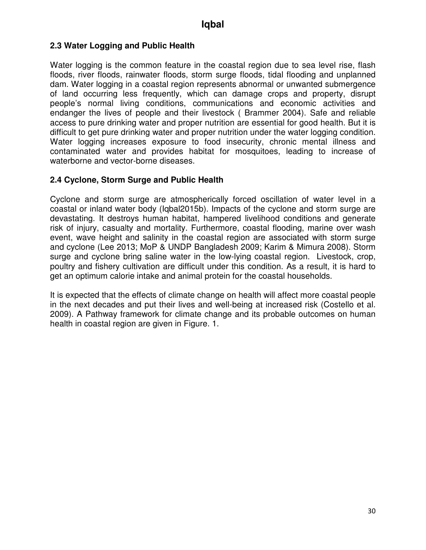### **2.3 Water Logging and Public Health**

Water logging is the common feature in the coastal region due to sea level rise, flash floods, river floods, rainwater floods, storm surge floods, tidal flooding and unplanned dam. Water logging in a coastal region represents abnormal or unwanted submergence of land occurring less frequently, which can damage crops and property, disrupt people's normal living conditions, communications and economic activities and endanger the lives of people and their livestock ( Brammer 2004). Safe and reliable access to pure drinking water and proper nutrition are essential for good health. But it is difficult to get pure drinking water and proper nutrition under the water logging condition. Water logging increases exposure to food insecurity, chronic mental illness and contaminated water and provides habitat for mosquitoes, leading to increase of waterborne and vector-borne diseases.

#### **2.4 Cyclone, Storm Surge and Public Health**

Cyclone and storm surge are atmospherically forced oscillation of water level in a coastal or inland water body (Iqbal2015b). Impacts of the cyclone and storm surge are devastating. It destroys human habitat, hampered livelihood conditions and generate risk of injury, casualty and mortality. Furthermore, coastal flooding, marine over wash event, wave height and salinity in the coastal region are associated with storm surge and cyclone (Lee 2013; MoP & UNDP Bangladesh 2009; Karim & Mimura 2008). Storm surge and cyclone bring saline water in the low-lying coastal region. Livestock, crop, poultry and fishery cultivation are difficult under this condition. As a result, it is hard to get an optimum calorie intake and animal protein for the coastal households.

It is expected that the effects of climate change on health will affect more coastal people in the next decades and put their lives and well-being at increased risk (Costello et al. 2009). A Pathway framework for climate change and its probable outcomes on human health in coastal region are given in Figure. 1.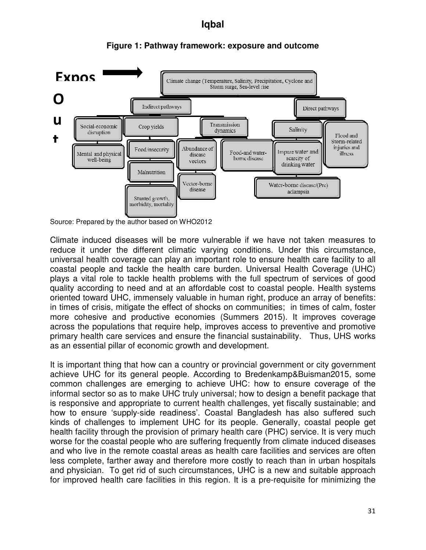

#### **Figure 1: Pathway framework: exposure and outcome**

Climate induced diseases will be more vulnerable if we have not taken measures to reduce it under the different climatic varying conditions. Under this circumstance, universal health coverage can play an important role to ensure health care facility to all coastal people and tackle the health care burden. Universal Health Coverage (UHC) plays a vital role to tackle health problems with the full spectrum of services of good quality according to need and at an affordable cost to coastal people. Health systems oriented toward UHC, immensely valuable in human right, produce an array of benefits: in times of crisis, mitigate the effect of shocks on communities; in times of calm, foster more cohesive and productive economies (Summers 2015). It improves coverage across the populations that require help, improves access to preventive and promotive primary health care services and ensure the financial sustainability. Thus, UHS works as an essential pillar of economic growth and development.

It is important thing that how can a country or provincial government or city government achieve UHC for its general people. According to Bredenkamp&Buisman2015, some common challenges are emerging to achieve UHC: how to ensure coverage of the informal sector so as to make UHC truly universal; how to design a benefit package that is responsive and appropriate to current health challenges, yet fiscally sustainable; and how to ensure 'supply-side readiness'. Coastal Bangladesh has also suffered such kinds of challenges to implement UHC for its people. Generally, coastal people get health facility through the provision of primary health care (PHC) service. It is very much worse for the coastal people who are suffering frequently from climate induced diseases and who live in the remote coastal areas as health care facilities and services are often less complete, farther away and therefore more costly to reach than in urban hospitals and physician. To get rid of such circumstances, UHC is a new and suitable approach for improved health care facilities in this region. It is a pre-requisite for minimizing the

Source: Prepared by the author based on WHO2012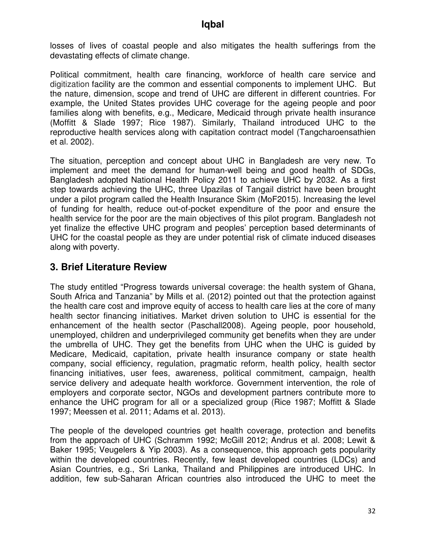losses of lives of coastal people and also mitigates the health sufferings from the devastating effects of climate change.

Political commitment, health care financing, workforce of health care service and digitization facility are the common and essential components to implement UHC. But the nature, dimension, scope and trend of UHC are different in different countries. For example, the United States provides UHC coverage for the ageing people and poor families along with benefits, e.g., Medicare, Medicaid through private health insurance (Moffitt & Slade 1997; Rice 1987). Similarly, Thailand introduced UHC to the reproductive health services along with capitation contract model (Tangcharoensathien et al. 2002).

The situation, perception and concept about UHC in Bangladesh are very new. To implement and meet the demand for human-well being and good health of SDGs, Bangladesh adopted National Health Policy 2011 to achieve UHC by 2032. As a first step towards achieving the UHC, three Upazilas of Tangail district have been brought under a pilot program called the Health Insurance Skim (MoF2015). Increasing the level of funding for health, reduce out-of-pocket expenditure of the poor and ensure the health service for the poor are the main objectives of this pilot program. Bangladesh not yet finalize the effective UHC program and peoples' perception based determinants of UHC for the coastal people as they are under potential risk of climate induced diseases along with poverty.

## **3. Brief Literature Review**

The study entitled "Progress towards universal coverage: the health system of Ghana, South Africa and Tanzania" by Mills et al. (2012) pointed out that the protection against the health care cost and improve equity of access to health care lies at the core of many health sector financing initiatives. Market driven solution to UHC is essential for the enhancement of the health sector (Paschall2008). Ageing people, poor household, unemployed, children and underprivileged community get benefits when they are under the umbrella of UHC. They get the benefits from UHC when the UHC is guided by Medicare, Medicaid, capitation, private health insurance company or state health company, social efficiency, regulation, pragmatic reform, health policy, health sector financing initiatives, user fees, awareness, political commitment, campaign, health service delivery and adequate health workforce. Government intervention, the role of employers and corporate sector, NGOs and development partners contribute more to enhance the UHC program for all or a specialized group (Rice 1987; Moffitt & Slade 1997; Meessen et al. 2011; Adams et al. 2013).

The people of the developed countries get health coverage, protection and benefits from the approach of UHC (Schramm 1992; McGill 2012; Andrus et al. 2008; Lewit & Baker 1995; Veugelers & Yip 2003). As a consequence, this approach gets popularity within the developed countries. Recently, few least developed countries (LDCs) and Asian Countries, e.g., Sri Lanka, Thailand and Philippines are introduced UHC. In addition, few sub-Saharan African countries also introduced the UHC to meet the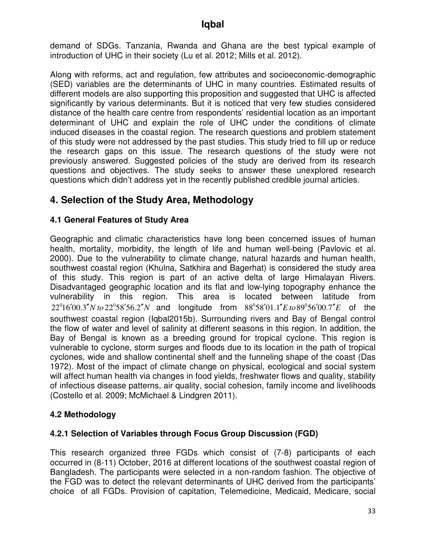demand of SDGs. Tanzania, Rwanda and Ghana are the best typical example of introduction of UHC in their society (Lu et al. 2012; Mills et al. 2012).

Along with reforms, act and regulation, few attributes and socioeconomic-demographic (SED) variables are the determinants of UHC in many countries. Estimated results of different models are also supporting this proposition and suggested that UHC is affected significantly by various determinants. But it is noticed that very few studies considered distance of the health care centre from respondents' residential location as an important determinant of UHC and explain the role of UHC under the conditions of climate induced diseases in the coastal region. The research questions and problem statement of this study were not addressed by the past studies. This study tried to fill up or reduce the research gaps on this issue. The research questions of the study were not previously answered. Suggested policies of the study are derived from its research questions and objectives. The study seeks to answer these unexplored research questions which didn't address yet in the recently published credible journal articles.

# **4. Selection of the Study Area, Methodology**

### **4.1 General Features of Study Area**

Geographic and climatic characteristics have long been concerned issues of human health, mortality, morbidity, the length of life and human well-being (Pavlovic et al. 2000). Due to the vulnerability to climate change, natural hazards and human health, southwest coastal region (Khulna, Satkhira and Bagerhat) is considered the study area of this study. This region is part of an active delta of large Himalayan Rivers. Disadvantaged geographic location and its flat and low-lying topography enhance the vulnerability in this region. This area is located between latitude from  $22^0 16' 00.3'' N$  to  $22^0 58' 56.2'' N$  and longitude from  $88^0 58' 01.1'' E$  to  $89^0 56' 00.7'' E$  of the southwest coastal region (Iqbal2015b). Surrounding rivers and Bay of Bengal control the flow of water and level of salinity at different seasons in this region. In addition, the Bay of Bengal is known as a breeding ground for tropical cyclone. This region is vulnerable to cyclone, storm surges and floods due to its location in the path of tropical cyclones, wide and shallow continental shelf and the funneling shape of the coast (Das 1972). Most of the impact of climate change on physical, ecological and social system will affect human health via changes in food yields, freshwater flows and quality, stability of infectious disease patterns, air quality, social cohesion, family income and livelihoods (Costello et al. 2009; McMichael & Lindgren 2011).

### **4.2 Methodology**

### **4.2.1 Selection of Variables through Focus Group Discussion (FGD)**

This research organized three FGDs which consist of (7-8) participants of each occurred in (8-11) October, 2016 at different locations of the southwest coastal region of Bangladesh. The participants were selected in a non-random fashion. The objective of the FGD was to detect the relevant determinants of UHC derived from the participants' choice of all FGDs. Provision of capitation, Telemedicine, Medicaid, Medicare, social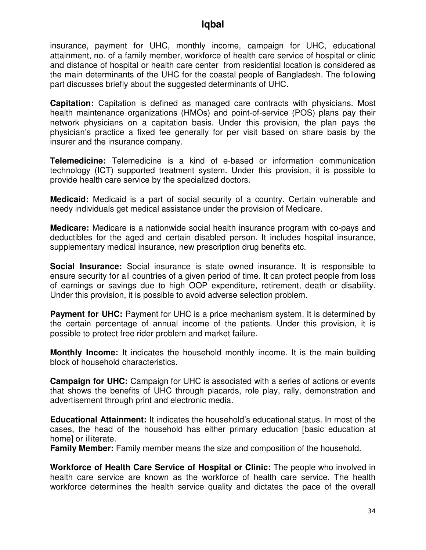insurance, payment for UHC, monthly income, campaign for UHC, educational attainment, no. of a family member, workforce of health care service of hospital or clinic and distance of hospital or health care center from residential location is considered as the main determinants of the UHC for the coastal people of Bangladesh. The following part discusses briefly about the suggested determinants of UHC.

**Capitation:** Capitation is defined as managed care contracts with physicians. Most health maintenance organizations (HMOs) and point-of-service (POS) plans pay their network physicians on a capitation basis. Under this provision, the plan pays the physician's practice a fixed fee generally for per visit based on share basis by the insurer and the insurance company.

**Telemedicine:** Telemedicine is a kind of e-based or information communication technology (ICT) supported treatment system. Under this provision, it is possible to provide health care service by the specialized doctors.

**Medicaid:** Medicaid is a part of social security of a country. Certain vulnerable and needy individuals get medical assistance under the provision of Medicare.

**Medicare:** Medicare is a nationwide social health insurance program with co-pays and deductibles for the aged and certain disabled person. It includes hospital insurance, supplementary medical insurance, new prescription drug benefits etc.

**Social Insurance:** Social insurance is state owned insurance. It is responsible to ensure security for all countries of a given period of time. It can protect people from loss of earnings or savings due to high OOP expenditure, retirement, death or disability. Under this provision, it is possible to avoid adverse selection problem.

**Payment for UHC:** Payment for UHC is a price mechanism system. It is determined by the certain percentage of annual income of the patients. Under this provision, it is possible to protect free rider problem and market failure.

**Monthly Income:** It indicates the household monthly income. It is the main building block of household characteristics.

**Campaign for UHC:** Campaign for UHC is associated with a series of actions or events that shows the benefits of UHC through placards, role play, rally, demonstration and advertisement through print and electronic media.

**Educational Attainment:** It indicates the household's educational status. In most of the cases, the head of the household has either primary education [basic education at home] or illiterate.

**Family Member:** Family member means the size and composition of the household.

**Workforce of Health Care Service of Hospital or Clinic:** The people who involved in health care service are known as the workforce of health care service. The health workforce determines the health service quality and dictates the pace of the overall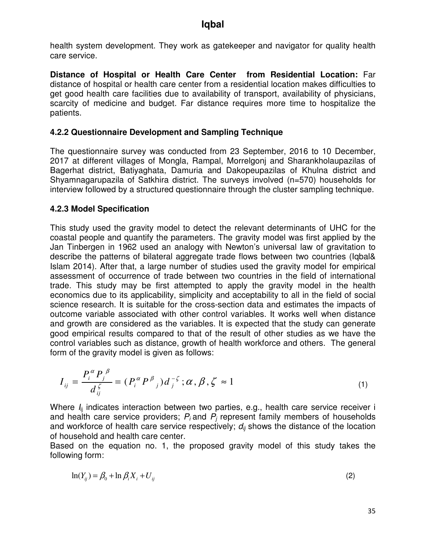health system development. They work as gatekeeper and navigator for quality health care service.

**Distance of Hospital or Health Care Center from Residential Location:** Far distance of hospital or health care center from a residential location makes difficulties to get good health care facilities due to availability of transport, availability of physicians, scarcity of medicine and budget. Far distance requires more time to hospitalize the patients.

### **4.2.2 Questionnaire Development and Sampling Technique**

The questionnaire survey was conducted from 23 September, 2016 to 10 December, 2017 at different villages of Mongla, Rampal, Morrelgonj and Sharankholaupazilas of Bagerhat district, Batiyaghata, Damuria and Dakopeupazilas of Khulna district and Shyamnagarupazila of Satkhira district. The surveys involved (n=570) households for interview followed by a structured questionnaire through the cluster sampling technique.

#### **4.2.3 Model Specification**

This study used the gravity model to detect the relevant determinants of UHC for the coastal people and quantify the parameters. The gravity model was first applied by the Jan Tinbergen in 1962 used an analogy with Newton's universal law of gravitation to describe the patterns of bilateral aggregate trade flows between two countries (Iqbal& Islam 2014). After that, a large number of studies used the gravity model for empirical assessment of occurrence of trade between two countries in the field of international trade. This study may be first attempted to apply the gravity model in the health economics due to its applicability, simplicity and acceptability to all in the field of social science research. It is suitable for the cross-section data and estimates the impacts of outcome variable associated with other control variables. It works well when distance and growth are considered as the variables. It is expected that the study can generate good empirical results compared to that of the result of other studies as we have the control variables such as distance, growth of health workforce and others. The general form of the gravity model is given as follows:

$$
I_{ij} = \frac{P_i^{\alpha} P_j^{\beta}}{d_j^{\zeta}} = (P_i^{\alpha} P^{\beta}) d_j^{-\zeta}; \alpha, \beta, \zeta \approx 1
$$
 (1)

Where  $I_{ii}$  indicates interaction between two parties, e.g., health care service receiver i and health care service providers;  $P_i$  and  $P_j$  represent family members of households and workforce of health care service respectively;  $d_{ii}$  shows the distance of the location of household and health care center.

Based on the equation no. 1, the proposed gravity model of this study takes the following form:

$$
\ln(Y_{ij}) = \beta_0 + \ln \beta_i X_i + U_{ij}
$$
\n<sup>(2)</sup>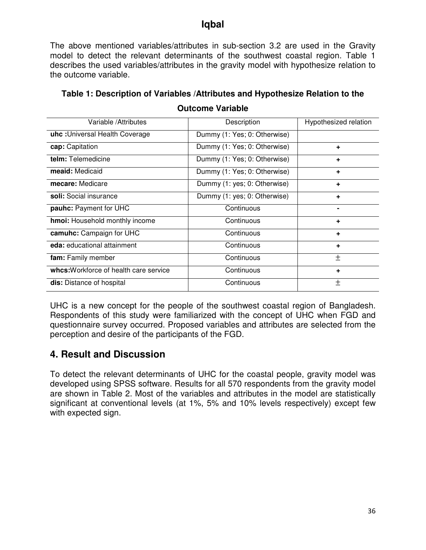The above mentioned variables/attributes in sub-section 3.2 are used in the Gravity model to detect the relevant determinants of the southwest coastal region. Table 1 describes the used variables/attributes in the gravity model with hypothesize relation to the outcome variable.

| Variable / Attributes                  | Description                       | Hypothesized relation |
|----------------------------------------|-----------------------------------|-----------------------|
| uhc: Universal Health Coverage         | Dummy (1: Yes; 0: Otherwise)      |                       |
| cap: Capitation                        | Dummy (1: Yes; 0: Otherwise)<br>٠ |                       |
| telm: Telemedicine                     | Dummy (1: Yes; 0: Otherwise)<br>٠ |                       |
| meaid: Medicaid                        | Dummy (1: Yes; 0: Otherwise)      | ٠                     |
| mecare: Medicare                       | Dummy (1: yes; 0: Otherwise)      | ٠                     |
| soli: Social insurance                 | Dummy (1: yes; 0: Otherwise)      | ٠                     |
| pauhc: Payment for UHC                 | Continuous                        |                       |
| hmoi: Household monthly income         | Continuous                        | ٠                     |
| camuhc: Campaign for UHC               | Continuous                        | ٠                     |
| eda: educational attainment            | Continuous                        | ÷                     |
| fam: Family member                     | Continuous                        | 土                     |
| whcs: Workforce of health care service | Continuous                        | ٠                     |
| dis: Distance of hospital              | Continuous                        | 土                     |

**Table 1: Description of Variables /Attributes and Hypothesize Relation to the Outcome Variable** 

UHC is a new concept for the people of the southwest coastal region of Bangladesh. Respondents of this study were familiarized with the concept of UHC when FGD and questionnaire survey occurred. Proposed variables and attributes are selected from the perception and desire of the participants of the FGD.

# **4. Result and Discussion**

To detect the relevant determinants of UHC for the coastal people, gravity model was developed using SPSS software. Results for all 570 respondents from the gravity model are shown in Table 2. Most of the variables and attributes in the model are statistically significant at conventional levels (at 1%, 5% and 10% levels respectively) except few with expected sign.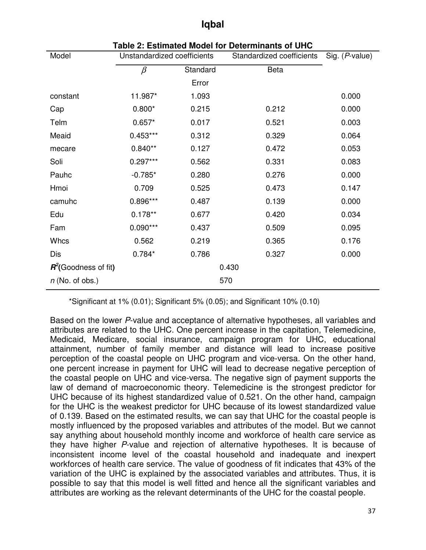| Model                   | . Launawa moaci ioi<br>Unstandardized coefficients |          | סווט וט אוווווושווט<br>Standardized coefficients | Sig. (P-value) |
|-------------------------|----------------------------------------------------|----------|--------------------------------------------------|----------------|
|                         | $\beta$                                            | Standard | Beta                                             |                |
|                         |                                                    | Error    |                                                  |                |
| constant                | 11.987*                                            | 1.093    |                                                  | 0.000          |
| Cap                     | $0.800*$                                           | 0.215    | 0.212                                            | 0.000          |
| Telm                    | $0.657*$                                           | 0.017    | 0.521                                            | 0.003          |
| Meaid                   | $0.453***$                                         | 0.312    | 0.329                                            | 0.064          |
| mecare                  | $0.840**$                                          | 0.127    | 0.472                                            | 0.053          |
| Soli                    | $0.297***$                                         | 0.562    | 0.331                                            | 0.083          |
| Pauhc                   | $-0.785*$                                          | 0.280    | 0.276                                            | 0.000          |
| Hmoi                    | 0.709                                              | 0.525    | 0.473                                            | 0.147          |
| camuhc                  | 0.896***                                           | 0.487    | 0.139                                            | 0.000          |
| Edu                     | $0.178**$                                          | 0.677    | 0.420                                            | 0.034          |
| Fam                     | $0.090***$                                         | 0.437    | 0.509                                            | 0.095          |
| Whcs                    | 0.562                                              | 0.219    | 0.365                                            | 0.176          |
| Dis                     | $0.784*$                                           | 0.786    | 0.327                                            | 0.000          |
| $R^2$ (Goodness of fit) |                                                    |          | 0.430                                            |                |
| $n$ (No. of obs.)       |                                                    |          | 570                                              |                |

**Table 2: Estimated Model for Determinants of UHC** 

\*Significant at 1% (0.01); Significant 5% (0.05); and Significant 10% (0.10)

Based on the lower *P*-value and acceptance of alternative hypotheses, all variables and attributes are related to the UHC. One percent increase in the capitation, Telemedicine, Medicaid, Medicare, social insurance, campaign program for UHC, educational attainment, number of family member and distance will lead to increase positive perception of the coastal people on UHC program and vice-versa. On the other hand, one percent increase in payment for UHC will lead to decrease negative perception of the coastal people on UHC and vice-versa. The negative sign of payment supports the law of demand of macroeconomic theory. Telemedicine is the strongest predictor for UHC because of its highest standardized value of 0.521. On the other hand, campaign for the UHC is the weakest predictor for UHC because of its lowest standardized value of 0.139. Based on the estimated results, we can say that UHC for the coastal people is mostly influenced by the proposed variables and attributes of the model. But we cannot say anything about household monthly income and workforce of health care service as they have higher *P*-value and rejection of alternative hypotheses. It is because of inconsistent income level of the coastal household and inadequate and inexpert workforces of health care service. The value of goodness of fit indicates that 43% of the variation of the UHC is explained by the associated variables and attributes. Thus, it is possible to say that this model is well fitted and hence all the significant variables and attributes are working as the relevant determinants of the UHC for the coastal people.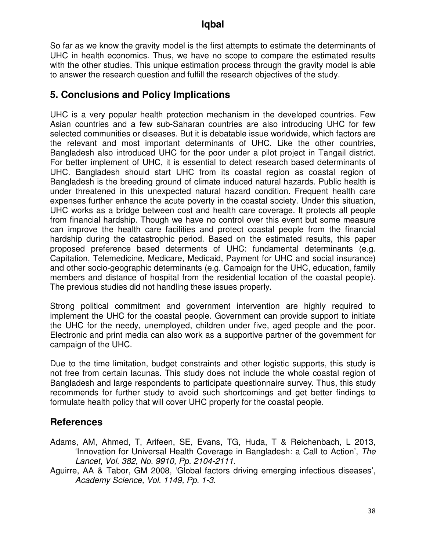So far as we know the gravity model is the first attempts to estimate the determinants of UHC in health economics. Thus, we have no scope to compare the estimated results with the other studies. This unique estimation process through the gravity model is able to answer the research question and fulfill the research objectives of the study.

# **5. Conclusions and Policy Implications**

UHC is a very popular health protection mechanism in the developed countries. Few Asian countries and a few sub-Saharan countries are also introducing UHC for few selected communities or diseases. But it is debatable issue worldwide, which factors are the relevant and most important determinants of UHC. Like the other countries, Bangladesh also introduced UHC for the poor under a pilot project in Tangail district. For better implement of UHC, it is essential to detect research based determinants of UHC. Bangladesh should start UHC from its coastal region as coastal region of Bangladesh is the breeding ground of climate induced natural hazards. Public health is under threatened in this unexpected natural hazard condition. Frequent health care expenses further enhance the acute poverty in the coastal society. Under this situation, UHC works as a bridge between cost and health care coverage. It protects all people from financial hardship. Though we have no control over this event but some measure can improve the health care facilities and protect coastal people from the financial hardship during the catastrophic period. Based on the estimated results, this paper proposed preference based determents of UHC: fundamental determinants (e.g. Capitation, Telemedicine, Medicare, Medicaid, Payment for UHC and social insurance) and other socio-geographic determinants (e.g. Campaign for the UHC, education, family members and distance of hospital from the residential location of the coastal people). The previous studies did not handling these issues properly.

Strong political commitment and government intervention are highly required to implement the UHC for the coastal people. Government can provide support to initiate the UHC for the needy, unemployed, children under five, aged people and the poor. Electronic and print media can also work as a supportive partner of the government for campaign of the UHC.

Due to the time limitation, budget constraints and other logistic supports, this study is not free from certain lacunas. This study does not include the whole coastal region of Bangladesh and large respondents to participate questionnaire survey. Thus, this study recommends for further study to avoid such shortcomings and get better findings to formulate health policy that will cover UHC properly for the coastal people.

# **References**

- Adams, AM, Ahmed, T, Arifeen, SE, Evans, TG, Huda, T & Reichenbach, L 2013, 'Innovation for Universal Health Coverage in Bangladesh: a Call to Action', *The Lancet*, *Vol. 382, No. 9910, Pp. 2104-2111*.
- Aguirre, AA & Tabor, GM 2008, 'Global factors driving emerging infectious diseases', *Academy Science, Vol. 1149, Pp. 1-3*.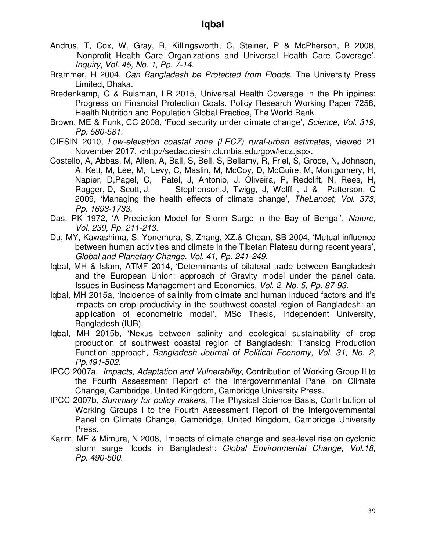- Andrus, T, Cox, W, Gray, B, Killingsworth, C, Steiner, P & McPherson, B 2008, 'Nonprofit Health Care Organizations and Universal Health Care Coverage'. *Inquiry*, *Vol. 45, No. 1, Pp. 7-14*.
- Brammer, H 2004, *Can Bangladesh be Protected from Floods*. The University Press Limited, Dhaka.
- Bredenkamp, C & Buisman, LR 2015, Universal Health Coverage in the Philippines: Progress on Financial Protection Goals. Policy Research Working Paper 7258, Health Nutrition and Population Global Practice, The World Bank.
- Brown, ME & Funk, CC 2008, 'Food security under climate change', *Science*, *Vol. 319, Pp. 580-581.*
- CIESIN 2010, *Low-elevation coastal zone (LECZ) rural-urban estimates*, viewed 21 November 2017, <http://sedac.ciesin.clumbia.edu/gpw/lecz.jsp>.
- Costello, A, Abbas, M, Allen, A, Ball, S, Bell, S, Bellamy, R, Friel, S, Groce, N, Johnson, A, Kett, M, Lee, M, Levy, C, Maslin, M, McCoy, D, McGuire, M, Montgomery, H, Napier, D,Pagel, C, Patel, J, Antonio, J, Oliveira, P, Redclift, N, Rees, H, Rogger, D, Scott, J, Stephenson, J, Twigg, J, Wolff, J & Patterson, C 2009, 'Managing the health effects of climate change', *TheLancet, Vol. 373, Pp. 1693-1733.*
- Das, PK 1972, 'A Prediction Model for Storm Surge in the Bay of Bengal', *Nature*, *Vol. 239, Pp. 211-213.*
- Du, MY, Kawashima, S, Yonemura, S, Zhang, XZ.& Chean, SB 2004, 'Mutual influence between human activities and climate in the Tibetan Plateau during recent years', *Global and Planetary Change, Vol. 41, Pp. 241-249*.
- Iqbal, MH & Islam, ATMF 2014, 'Determinants of bilateral trade between Bangladesh and the European Union: approach of Gravity model under the panel data. Issues in Business Management and Economics, *Vol. 2, No. 5, Pp. 87-93*.
- Iqbal, MH 2015a, 'Incidence of salinity from climate and human induced factors and it's impacts on crop productivity in the southwest coastal region of Bangladesh: an application of econometric model', MSc Thesis, Independent University, Bangladesh (IUB).
- Iqbal, MH 2015b, 'Nexus between salinity and ecological sustainability of crop production of southwest coastal region of Bangladesh: Translog Production Function approach, *Bangladesh Journal of Political Economy, Vol. 31, No. 2, Pp.491-502.*
- IPCC 2007a, *Impacts, Adaptation and Vulnerability*, Contribution of Working Group II to the Fourth Assessment Report of the Intergovernmental Panel on Climate Change, Cambridge, United Kingdom, Cambridge University Press.
- IPCC 2007b, *Summary for policy makers*, The Physical Science Basis, Contribution of Working Groups I to the Fourth Assessment Report of the Intergovernmental Panel on Climate Change, Cambridge, United Kingdom, Cambridge University Press.
- Karim, MF & Mimura, N 2008, 'Impacts of climate change and sea-level rise on cyclonic storm surge floods in Bangladesh: *Global Environmental Change*, *Vol.18, Pp. 490-500.*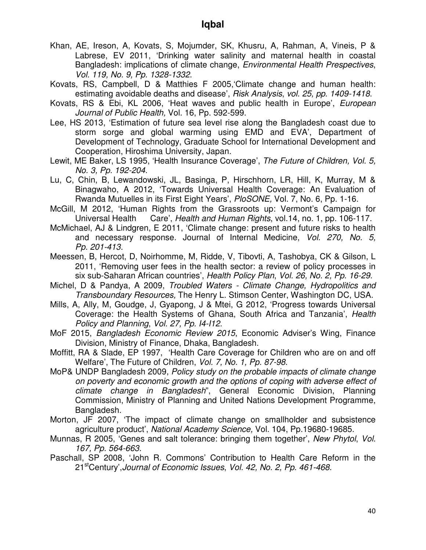- Khan, AE, Ireson, A, Kovats, S, Mojumder, SK, Khusru, A, Rahman, A, Vineis, P & Labrese, EV 2011, 'Drinking water salinity and maternal health in coastal Bangladesh: implications of climate change, *Environmental Health Prespectives*, *Vol. 119, No. 9, Pp. 1328-1332*.
- Kovats, RS, Campbell, D & Matthies F 2005,'Climate change and human health: estimating avoidable deaths and disease', *Risk Analysis*, *vol. 25, pp. 1409-1418*.
- Kovats, RS & Ebi, KL 2006, 'Heat waves and public health in Europe', *European Journal of Public Health,* Vol. 16, Pp. 592-599.
- Lee, HS 2013, 'Estimation of future sea level rise along the Bangladesh coast due to storm sorge and global warming using EMD and EVA', Department of Development of Technology, Graduate School for International Development and Cooperation, Hiroshima University, Japan.
- Lewit, ME Baker, LS 1995, 'Health Insurance Coverage', *The Future of Children, Vol. 5, No. 3, Pp. 192-204.*
- Lu, C, Chin, B, Lewandowski, JL, Basinga, P, Hirschhorn, LR, Hill, K, Murray, M & Binagwaho, A 2012, 'Towards Universal Health Coverage: An Evaluation of Rwanda Mutuelles in its First Eight Years', *PloSONE,* Vol. 7, No. 6, Pp. 1-16.
- McGill, M 2012, 'Human Rights from the Grassroots up: Vermont's Campaign for Universal Health Care', *Health and Human Rights*, vol.14, no. 1, pp. 106-117.
- McMichael, AJ & Lindgren, E 2011, 'Climate change: present and future risks to health and necessary response. Journal of Internal Medicine, *Vol. 270, No. 5, Pp. 201-413.*
- Meessen, B, Hercot, D, Noirhomme, M, Ridde, V, Tibovti, A, Tashobya, CK & Gilson, L 2011, 'Removing user fees in the health sector: a review of policy processes in six sub-Saharan African countries', *Health Policy Plan*, *Vol. 26, No. 2, Pp. 16-29*.
- Michel, D & Pandya, A 2009, *Troubled Waters Climate Change, Hydropolitics and Transboundary Resources,* The Henry L. Stimson Center, Washington DC, USA.
- Mills, A, Ally, M, Goudge, J, Gyapong, J & Mtei, G 2012, 'Progress towards Universal Coverage: the Health Systems of Ghana, South Africa and Tanzania', *Health Policy and Planning*, *Vol. 27, Pp. I4-I12*.
- MoF 2015, *Bangladesh Economic Review 2015*, Economic Adviser's Wing, Finance Division, Ministry of Finance, Dhaka, Bangladesh.
- Moffitt, RA & Slade, EP 1997, 'Health Care Coverage for Children who are on and off Welfare', The Future of Children, *Vol. 7, No. 1, Pp. 87-98*.
- MoP& UNDP Bangladesh 2009, *Policy study on the probable impacts of climate change on poverty and economic growth and the options of coping with adverse effect of climate change in Bangladesh*", General Economic Division, Planning Commission, Ministry of Planning and United Nations Development Programme, Bangladesh.
- Morton, JF 2007, 'The impact of climate change on smallholder and subsistence agriculture product', *National Academy Science,* Vol. 104, Pp.19680-19685.
- Munnas, R 2005, 'Genes and salt tolerance: bringing them together', *New Phytol*, *Vol. 167, Pp. 564-663.*
- Paschall, SP 2008, 'John R. Commons' Contribution to Health Care Reform in the 21stCentury',*Journal of Economic Issues*, *Vol. 42, No. 2, Pp. 461-468*.